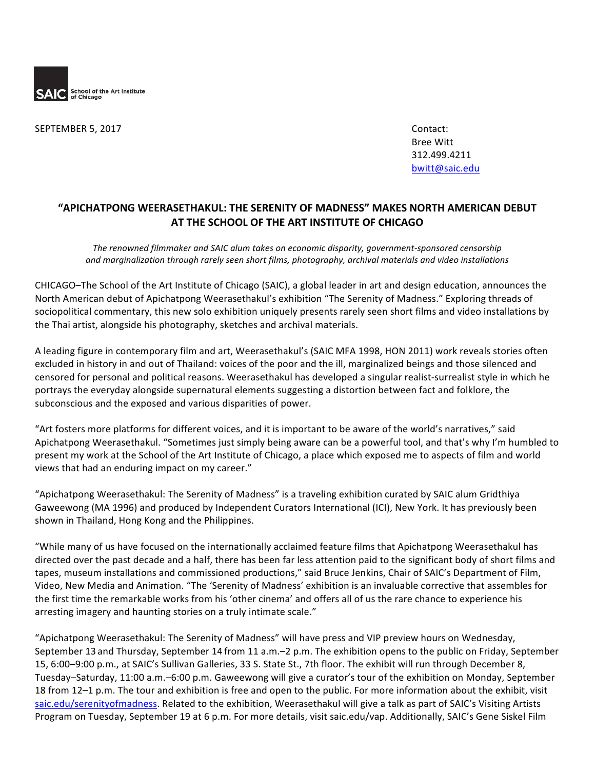

SEPTEMBER 5, 2017 Contact:

Bree Witt 312.499.4211 bwitt@saic.edu

## **"APICHATPONG WEERASETHAKUL: THE SERENITY OF MADNESS" MAKES NORTH AMERICAN DEBUT AT THE SCHOOL OF THE ART INSTITUTE OF CHICAGO**

The renowned filmmaker and SAIC alum takes on economic disparity, government-sponsored censorship *and marginalization through rarely seen short films, photography, archival materials and video installations*

CHICAGO–The School of the Art Institute of Chicago (SAIC), a global leader in art and design education, announces the North American debut of Apichatpong Weerasethakul's exhibition "The Serenity of Madness." Exploring threads of sociopolitical commentary, this new solo exhibition uniquely presents rarely seen short films and video installations by the Thai artist, alongside his photography, sketches and archival materials.

A leading figure in contemporary film and art, Weerasethakul's (SAIC MFA 1998, HON 2011) work reveals stories often excluded in history in and out of Thailand: voices of the poor and the ill, marginalized beings and those silenced and censored for personal and political reasons. Weerasethakul has developed a singular realist-surrealist style in which he portrays the everyday alongside supernatural elements suggesting a distortion between fact and folklore, the subconscious and the exposed and various disparities of power.

"Art fosters more platforms for different voices, and it is important to be aware of the world's narratives," said Apichatpong Weerasethakul. "Sometimes just simply being aware can be a powerful tool, and that's why I'm humbled to present my work at the School of the Art Institute of Chicago, a place which exposed me to aspects of film and world views that had an enduring impact on my career."

"Apichatpong Weerasethakul: The Serenity of Madness" is a traveling exhibition curated by SAIC alum Gridthiya Gaweewong (MA 1996) and produced by Independent Curators International (ICI), New York. It has previously been shown in Thailand, Hong Kong and the Philippines.

"While many of us have focused on the internationally acclaimed feature films that Apichatpong Weerasethakul has directed over the past decade and a half, there has been far less attention paid to the significant body of short films and tapes, museum installations and commissioned productions," said Bruce Jenkins, Chair of SAIC's Department of Film, Video, New Media and Animation. "The 'Serenity of Madness' exhibition is an invaluable corrective that assembles for the first time the remarkable works from his 'other cinema' and offers all of us the rare chance to experience his arresting imagery and haunting stories on a truly intimate scale."

"Apichatpong Weerasethakul: The Serenity of Madness" will have press and VIP preview hours on Wednesday, September 13 and Thursday, September 14 from 11 a.m.–2 p.m. The exhibition opens to the public on Friday, September 15, 6:00–9:00 p.m., at SAIC's Sullivan Galleries, 33 S. State St., 7th floor. The exhibit will run through December 8, Tuesday–Saturday, 11:00 a.m.–6:00 p.m. Gaweewong will give a curator's tour of the exhibition on Monday, September 18 from 12–1 p.m. The tour and exhibition is free and open to the public. For more information about the exhibit, visit saic.edu/serenityofmadness. Related to the exhibition, Weerasethakul will give a talk as part of SAIC's Visiting Artists Program on Tuesday, September 19 at 6 p.m. For more details, visit saic.edu/vap. Additionally, SAIC's Gene Siskel Film